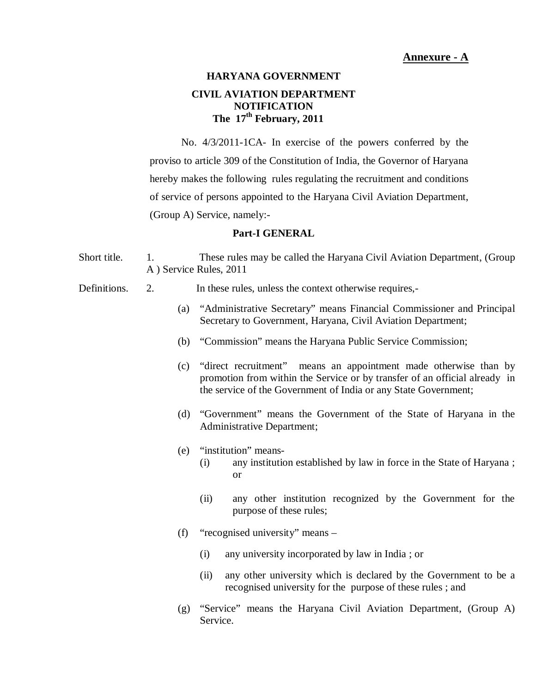# **HARYANA GOVERNMENT CIVIL AVIATION DEPARTMENT NOTIFICATION The 17th February, 2011**

 No. 4/3/2011-1CA- In exercise of the powers conferred by the proviso to article 309 of the Constitution of India, the Governor of Haryana hereby makes the following rules regulating the recruitment and conditions of service of persons appointed to the Haryana Civil Aviation Department, (Group A) Service, namely:-

#### **Part-I GENERAL**

- Short title. A ) Service Rules, 2011 1. These rules may be called the Haryana Civil Aviation Department, (Group
- Definitions. 2. In these rules, unless the context otherwise requires,-
	- Secretary to Government, Haryana, Civil Aviation Department; (a) "Administrative Secretary" means Financial Commissioner and Principal
	- (b) "Commission" means the Haryana Public Service Commission;
	- promotion from within the Service or by transfer of an official already in the service of the Government of India or any State Government; (c) "direct recruitment" means an appointment made otherwise than by
	- (d) "Government" means the Government of the State of Haryana in the Administrative Department;
	- (e) "institution" means-
		- $\alpha$ r (i) any institution established by law in force in the State of Haryana ;
		- purpose of these rules; (ii) any other institution recognized by the Government for the
	- (f) "recognised university" means
		- (i) any university incorporated by law in India ; or
		- recognised university for the purpose of these rules ; and (ii) any other university which is declared by the Government to be a
	- (g) "Service" means the Haryana Civil Aviation Department, (Group A) Service.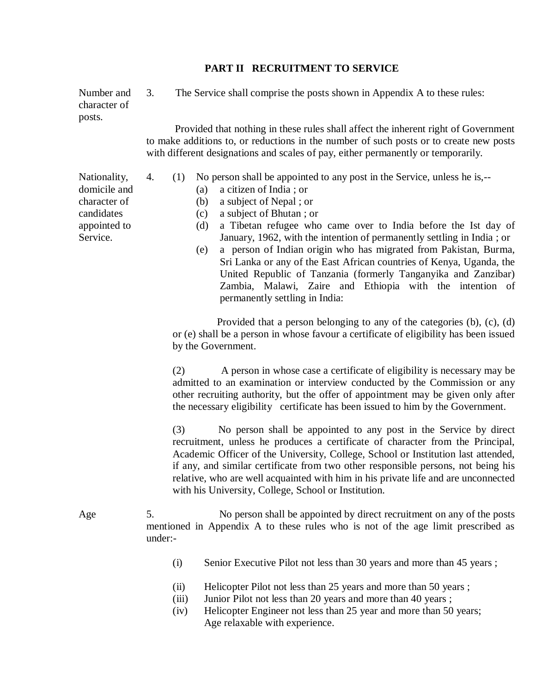## **PART II RECRUITMENT TO SERVICE**

 character of  $3.$ Number and 3. The Service shall comprise the posts shown in Appendix A to these rules: posts.

> to make additions to, or reductions in the number of such posts or to create new posts with different designations and scales of pay, either permanently or temporarily. Provided that nothing in these rules shall affect the inherent right of Government

Nationality, 4. (1) No person shall be appointed to any post in the Service, unless he is,--

- domicile and (a) a citizen of India ; or
	- (b) a subject of Nepal ; or
- candidates (c) a subject of Bhutan ; or
- Service. January, 1962, with the intention of permanently settling in India; or appointed to (d) a Tibetan refugee who came over to India before the Ist day of
	- Sri Lanka or any of the East African countries of Kenya, Uganda, the United Republic of Tanzania (formerly Tanganyika and Zanzibar) Zambia, Malawi, Zaire and Ethiopia with the intention of permanently settling in India: (e) a person of Indian origin who has migrated from Pakistan, Burma,

 or (e) shall be a person in whose favour a certificate of eligibility has been issued by the Government. Provided that a person belonging to any of the categories (b), (c), (d)

 admitted to an examination or interview conducted by the Commission or any other recruiting authority, but the offer of appointment may be given only after the necessary eligibility certificate has been issued to him by the Government. (2) A person in whose case a certificate of eligibility is necessary may be

 recruitment, unless he produces a certificate of character from the Principal, Academic Officer of the University, College, School or Institution last attended, if any, and similar certificate from two other responsible persons, not being his relative, who are well acquainted with him in his private life and are unconnected with his University, College, School or Institution. (3) No person shall be appointed to any post in the Service by direct

5. mentioned in Appendix A to these rules who is not of the age limit prescribed as Age 5. No person shall be appointed by direct recruitment on any of the posts under:-

- (i) Senior Executive Pilot not less than 30 years and more than 45 years ;
- (ii) Helicopter Pilot not less than 25 years and more than 50 years ;
- (iii) Junior Pilot not less than 20 years and more than 40 years;
- Age relaxable with experience. (iv) Helicopter Engineer not less than 25 year and more than 50 years;

character of

4.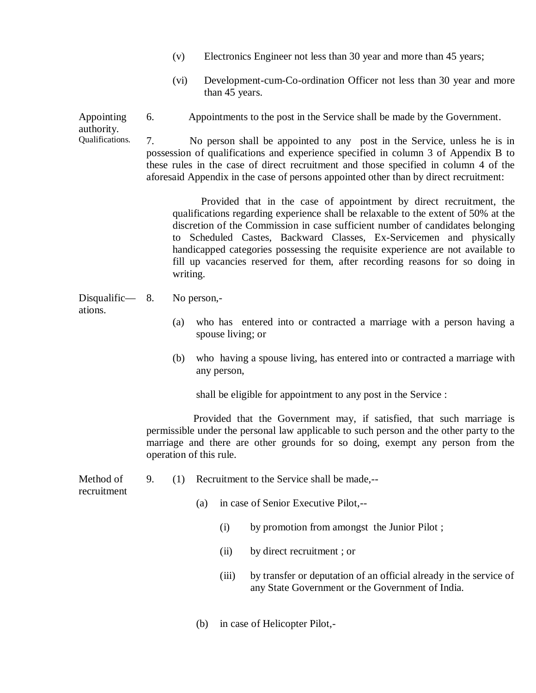- (v) Electronics Engineer not less than 30 year and more than 45 years;
- than 45 years. (vi) Development-cum-Co-ordination Officer not less than 30 year and more

6. Appointing 6. Appointments to the post in the Service shall be made by the Government.

7. possession of qualifications and experience specified in column 3 of Appendix B to these rules in the case of direct recruitment and those specified in column 4 of the aforesaid Appendix in the case of persons appointed other than by direct recruitment: authority.<br>Qualifications. No person shall be appointed to any post in the Service, unless he is in

> qualifications regarding experience shall be relaxable to the extent of 50% at the discretion of the Commission in case sufficient number of candidates belonging to Scheduled Castes, Backward Classes, Ex-Servicemen and physically handicapped categories possessing the requisite experience are not available to fill up vacancies reserved for them, after recording reasons for so doing in Provided that in the case of appointment by direct recruitment, the writing.

 Disqualific— 8. No person, ations.

- spouse living; or (a) who has entered into or contracted a marriage with a person having a
- any person, (b) who having a spouse living, has entered into or contracted a marriage with

shall be eligible for appointment to any post in the Service :

 permissible under the personal law applicable to such person and the other party to the marriage and there are other grounds for so doing, exempt any person from the operation of this rule. Provided that the Government may, if satisfied, that such marriage is

9. Method of 9. (1) Recruitment to the Service shall be made,-recruitment

(a) in case of Senior Executive Pilot,--

- (i) by promotion from amongst the Junior Pilot ;
- (ii) by direct recruitment ; or
- any State Government or the Government of India. (iii) by transfer or deputation of an official already in the service of
- (b) in case of Helicopter Pilot,-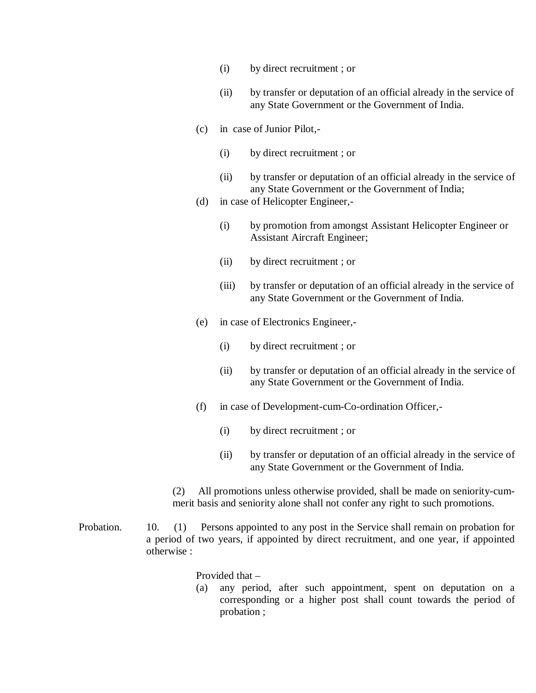- (i) by direct recruitment ; or
- any State Government or the Government of India. (ii) by transfer or deputation of an official already in the service of
- (c) in case of Junior Pilot,-
	- (i) by direct recruitment ; or
	- any State Government or the Government of India; (ii) by transfer or deputation of an official already in the service of
- (d) in case of Helicopter Engineer,-
	- Assistant Aircraft Engineer; (i) by promotion from amongst Assistant Helicopter Engineer or
	- (ii) by direct recruitment ; or
	- any State Government or the Government of India. (iii) by transfer or deputation of an official already in the service of
- (e) in case of Electronics Engineer,-
	- (i) by direct recruitment ; or
	- any State Government or the Government of India. (ii) by transfer or deputation of an official already in the service of
- (f) in case of Development-cum-Co-ordination Officer,-
	- (i) by direct recruitment ; or
	- any State Government or the Government of India. (ii) by transfer or deputation of an official already in the service of

 merit basis and seniority alone shall not confer any right to such promotions. (2) All promotions unless otherwise provided, shall be made on seniority-cum-

Probation. a period of two years, if appointed by direct recruitment, and one year, if appointed otherwise : 10. (1) Persons appointed to any post in the Service shall remain on probation for

Provided that –

 corresponding or a higher post shall count towards the period of probation ; (a) any period, after such appointment, spent on deputation on a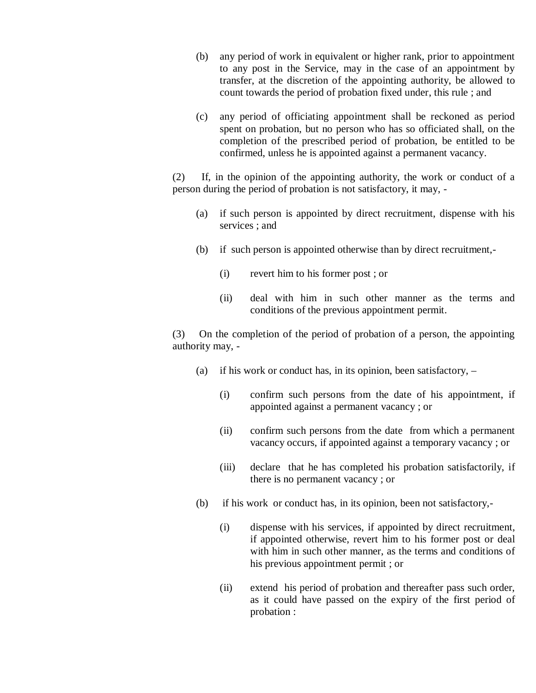- to any post in the Service, may in the case of an appointment by transfer, at the discretion of the appointing authority, be allowed to count towards the period of probation fixed under, this rule ; and (b) any period of work in equivalent or higher rank, prior to appointment
- spent on probation, but no person who has so officiated shall, on the completion of the prescribed period of probation, be entitled to be confirmed, unless he is appointed against a permanent vacancy. (c) any period of officiating appointment shall be reckoned as period

 person during the period of probation is not satisfactory, it may, - (2) If, in the opinion of the appointing authority, the work or conduct of a

- services ; and (a) if such person is appointed by direct recruitment, dispense with his
- (b) if such person is appointed otherwise than by direct recruitment,-
	- (i) revert him to his former post ; or
	- conditions of the previous appointment permit. (ii) deal with him in such other manner as the terms and

 authority may, - (3) On the completion of the period of probation of a person, the appointing

- (a) if his work or conduct has, in its opinion, been satisfactory,  $-$ 
	- appointed against a permanent vacancy ; or (i) confirm such persons from the date of his appointment, if
	- vacancy occurs, if appointed against a temporary vacancy ; or (ii) confirm such persons from the date from which a permanent
	- there is no permanent vacancy ; or (iii) declare that he has completed his probation satisfactorily, if
- (b) if his work or conduct has, in its opinion, been not satisfactory,-
	- if appointed otherwise, revert him to his former post or deal with him in such other manner, as the terms and conditions of his previous appointment permit ; or (i) dispense with his services, if appointed by direct recruitment,
	- as it could have passed on the expiry of the first period of probation : (ii) extend his period of probation and thereafter pass such order,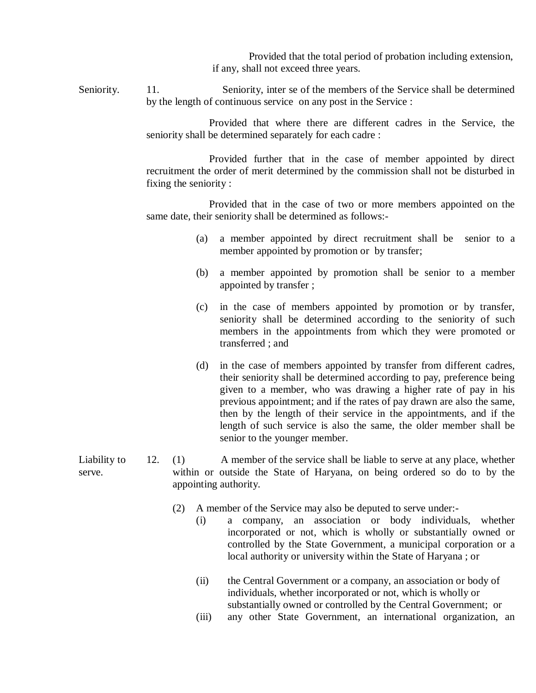if any, shall not exceed three years. Provided that the total period of probation including extension,

Seniority. by the length of continuous service on any post in the Service : Seniority. 11. Seniority, inter se of the members of the Service shall be determined

> seniority shall be determined separately for each cadre : Provided that where there are different cadres in the Service, the

> recruitment the order of merit determined by the commission shall not be disturbed in fixing the seniority : Provided further that in the case of member appointed by direct

> same date, their seniority shall be determined as follows:- Provided that in the case of two or more members appointed on the

- member appointed by promotion or by transfer; (a) a member appointed by direct recruitment shall be senior to a
- appointed by transfer ; (b) a member appointed by promotion shall be senior to a member
- seniority shall be determined according to the seniority of such members in the appointments from which they were promoted or transferred ; and (c) in the case of members appointed by promotion or by transfer,
- their seniority shall be determined according to pay, preference being given to a member, who was drawing a higher rate of pay in his previous appointment; and if the rates of pay drawn are also the same, then by the length of their service in the appointments, and if the length of such service is also the same, the older member shall be senior to the younger member. (d) in the case of members appointed by transfer from different cadres,

 $12.$  serve. within or outside the State of Haryana, on being ordered so do to by the Liability to 12. (1) A member of the service shall be liable to serve at any place, whether appointing authority.

- (2) A member of the Service may also be deputed to serve under:-
	- incorporated or not, which is wholly or substantially owned or controlled by the State Government, a municipal corporation or a local authority or university within the State of Haryana ; or (i) a company, an association or body individuals, whether
	- individuals, whether incorporated or not, which is wholly or substantially owned or controlled by the Central Government; or (ii) the Central Government or a company, an association or body of
	- (iii) any other State Government, an international organization, an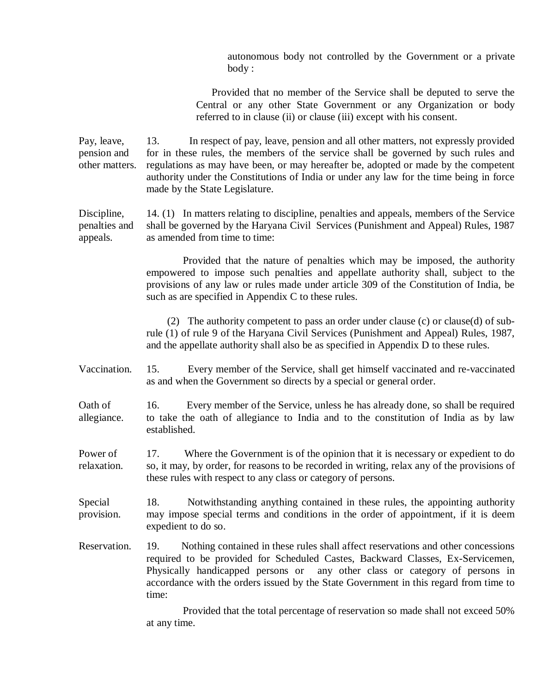autonomous body not controlled by the Government or a private body :

 Central or any other State Government or any Organization or body referred to in clause (ii) or clause (iii) except with his consent. Provided that no member of the Service shall be deputed to serve the

Pay, leave, other matters. 13. pension and for in these rules, the members of the service shall be governed by such rules and other matters. regulations as may have been, or may hereafter be, adopted or made by the competent authority under the Constitutions of India or under any law for the time being in force made by the State Legislature. In respect of pay, leave, pension and all other matters, not expressly provided

 Discipline, 14. (1) In matters relating to discipline, penalties and appeals, members of the Service penalties and shall be governed by the Haryana Civil Services (Punishment and Appeal) Rules, 1987 appeals. as amended from time to time:

> empowered to impose such penalties and appellate authority shall, subject to the provisions of any law or rules made under article 309 of the Constitution of India, be such as are specified in Appendix C to these rules. Provided that the nature of penalties which may be imposed, the authority

> rule (1) of rule 9 of the Haryana Civil Services (Punishment and Appeal) Rules, 1987, and the appellate authority shall also be as specified in Appendix D to these rules. (2) The authority competent to pass an order under clause (c) or clause(d) of sub-

Vaccination. as and when the Government so directs by a special or general order. 15. Every member of the Service, shall get himself vaccinated and re-vaccinated

Oath of allegiance. to take the oath of allegiance to India and to the constitution of India as by law 16. Every member of the Service, unless he has already done, so shall be required established.

Power of relaxation. so, it may, by order, for reasons to be recorded in writing, relax any of the provisions of these rules with respect to any class or category of persons. 17. Where the Government is of the opinion that it is necessary or expedient to do

18. provision. may impose special terms and conditions in the order of appointment, if it is deem expedient to do so. Special 18. Notwithstanding anything contained in these rules, the appointing authority

Reservation. required to be provided for Scheduled Castes, Backward Classes, Ex-Servicemen, Physically handicapped persons or any other class or category of persons in accordance with the orders issued by the State Government in this regard from time to 19. Nothing contained in these rules shall affect reservations and other concessions time:

> at any time. Provided that the total percentage of reservation so made shall not exceed 50%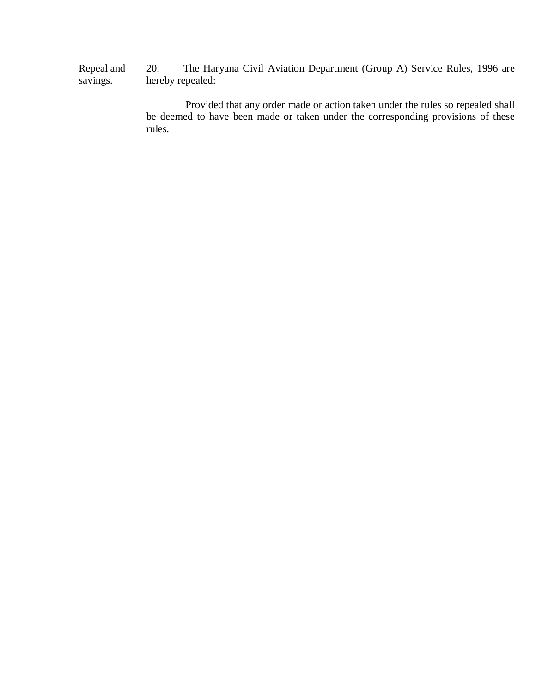20. hereby repealed: Repeal and savings. The Haryana Civil Aviation Department (Group A) Service Rules, 1996 are

> Provided that any order made or action taken under the rules so repealed shall be deemed to have been made or taken under the corresponding provisions of these rules.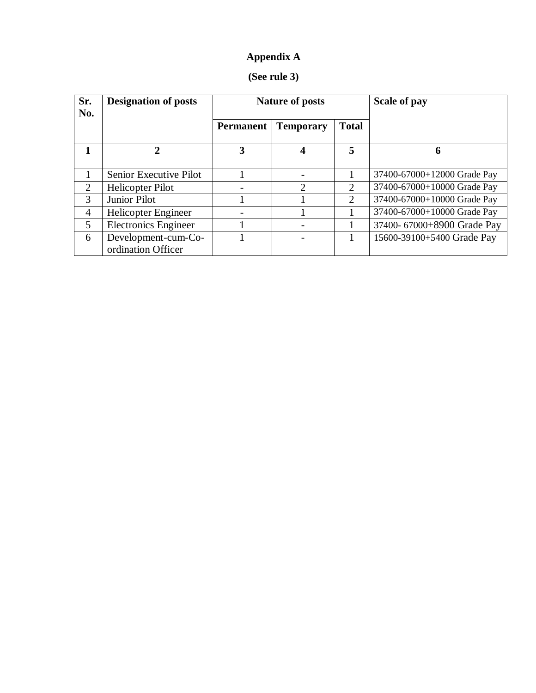# **Appendix A**

| (See rule 3) |  |  |
|--------------|--|--|
|--------------|--|--|

| Sr.<br>No. | <b>Designation of posts</b>               | <b>Nature of posts</b> |                  | Scale of pay                |                             |
|------------|-------------------------------------------|------------------------|------------------|-----------------------------|-----------------------------|
|            |                                           | <b>Permanent</b>       | <b>Temporary</b> | <b>Total</b>                |                             |
|            | 2                                         | 3                      | 4                | 5                           | 6                           |
|            | Senior Executive Pilot                    |                        |                  |                             | 37400-67000+12000 Grade Pay |
| 2          | Helicopter Pilot                          |                        | ↑                | $\mathcal{D}_{\mathcal{L}}$ | 37400-67000+10000 Grade Pay |
| 3          | Junior Pilot                              |                        |                  | 2                           | 37400-67000+10000 Grade Pay |
| 4          | Helicopter Engineer                       |                        |                  |                             | 37400-67000+10000 Grade Pay |
| 5          | <b>Electronics Engineer</b>               |                        |                  |                             | 37400-67000+8900 Grade Pay  |
| 6          | Development-cum-Co-<br>ordination Officer |                        |                  |                             | 15600-39100+5400 Grade Pay  |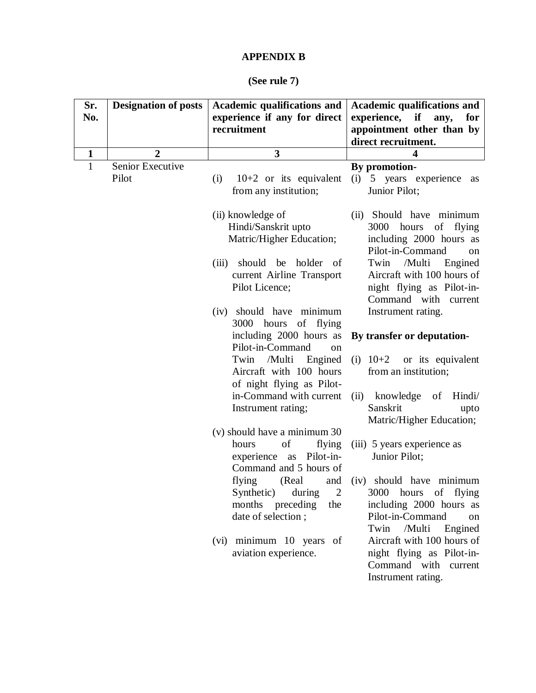## **APPENDIX B**

#### **(See rule 7)**

| Sr.<br>No.   | <b>Designation of posts</b> | Academic qualifications and<br>experience if any for direct<br>recruitment                                                                          | <b>Academic qualifications and</b><br>experience, if<br>any,<br>for<br>appointment other than by<br>direct recruitment.                                                                       |
|--------------|-----------------------------|-----------------------------------------------------------------------------------------------------------------------------------------------------|-----------------------------------------------------------------------------------------------------------------------------------------------------------------------------------------------|
| $\mathbf{1}$ | $\overline{2}$              | $\overline{\mathbf{3}}$                                                                                                                             | 4                                                                                                                                                                                             |
| $\mathbf{1}$ | Senior Executive<br>Pilot   | $10+2$ or its equivalent<br>(i)<br>from any institution;                                                                                            | By promotion-<br>(i)<br>5 years experience<br>as<br>Junior Pilot;                                                                                                                             |
|              |                             | (ii) knowledge of<br>Hindi/Sanskrit upto<br>Matric/Higher Education;<br>should be holder of<br>(iii)<br>current Airline Transport<br>Pilot Licence; | (ii) Should have minimum<br>3000 hours<br>of flying<br>including 2000 hours as<br>Pilot-in-Command<br>on<br>Twin /Multi<br>Engined<br>Aircraft with 100 hours of<br>night flying as Pilot-in- |
|              |                             | (iv) should have minimum<br>3000 hours of flying<br>including 2000 hours as<br>Pilot-in-Command                                                     | Command with current<br>Instrument rating.<br>By transfer or deputation-                                                                                                                      |
|              |                             | on<br>/Multi<br>Engined<br>Twin<br>Aircraft with 100 hours<br>of night flying as Pilot-                                                             | (i) $10+2$ or its equivalent<br>from an institution;                                                                                                                                          |
|              |                             | in-Command with current<br>Instrument rating;                                                                                                       | knowledge of<br>Hindi/<br>(ii)<br>Sanskrit<br>upto<br>Matric/Higher Education;                                                                                                                |
|              |                             | (v) should have a minimum 30<br>of<br>flying<br>hours<br>experience as Pilot-in-<br>Command and 5 hours of                                          | (iii) 5 years experience as<br>Junior Pilot;                                                                                                                                                  |
|              |                             | flying<br>(Real)<br>and<br>Synthetic)<br>during<br>2<br>months preceding<br>the<br>date of selection;                                               | (iv) should have minimum<br>3000<br>hours of flying<br>including 2000 hours as<br>Pilot-in-Command<br>on<br>/Multi<br>Twin<br>Engined                                                         |
|              |                             | (vi) minimum 10 years of<br>aviation experience.                                                                                                    | Aircraft with 100 hours of<br>night flying as Pilot-in-<br>Command with current<br>Instrument rating.                                                                                         |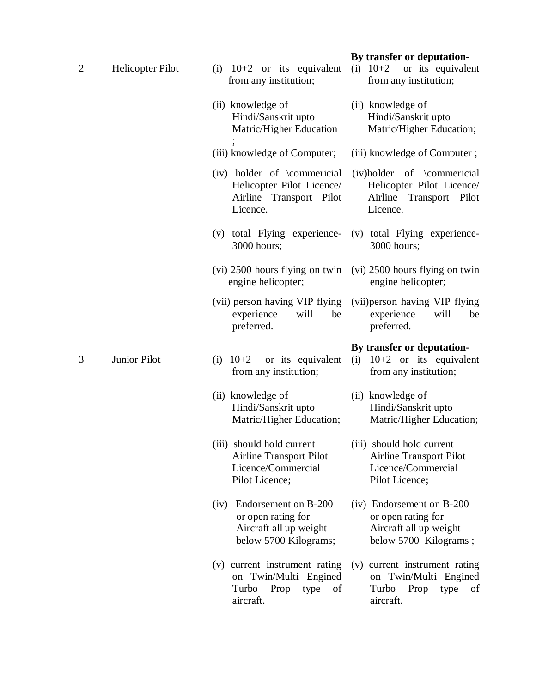| $\overline{2}$ | Helicopter Pilot | (i) $10+2$ or its equivalent<br>from any institution;<br>(ii) knowledge of<br>Hindi/Sanskrit upto<br>Matric/Higher Education | By transfer or deputation-<br>(i) $10+2$<br>or its equivalent<br>from any institution;<br>(ii) knowledge of<br>Hindi/Sanskrit upto<br>Matric/Higher Education; |  |
|----------------|------------------|------------------------------------------------------------------------------------------------------------------------------|----------------------------------------------------------------------------------------------------------------------------------------------------------------|--|
|                |                  | (iii) knowledge of Computer;                                                                                                 | (iii) knowledge of Computer;                                                                                                                                   |  |
|                |                  | (iv) holder of \commericial<br>Helicopter Pilot Licence/<br>Airline Transport Pilot<br>Licence.                              | (iv)holder of \commericial<br>Helicopter Pilot Licence/<br>Airline Transport Pilot<br>Licence.                                                                 |  |
|                |                  | (v) total Flying experience-<br>3000 hours;                                                                                  | (v) total Flying experience-<br>3000 hours;                                                                                                                    |  |
|                |                  | (vi) 2500 hours flying on twin<br>engine helicopter;                                                                         | (vi) 2500 hours flying on twin<br>engine helicopter;                                                                                                           |  |
|                |                  | (vii) person having VIP flying<br>will<br>be<br>experience<br>preferred.                                                     | (vii) person having VIP flying<br>experience<br>will<br>be<br>preferred.                                                                                       |  |
|                |                  |                                                                                                                              |                                                                                                                                                                |  |
| 3              | Junior Pilot     | $10+2$ or its equivalent<br>(i)<br>from any institution;                                                                     | By transfer or deputation-<br>(i) $10+2$ or its equivalent<br>from any institution;                                                                            |  |
|                |                  | (ii) knowledge of<br>Hindi/Sanskrit upto<br>Matric/Higher Education;                                                         | (ii) knowledge of<br>Hindi/Sanskrit upto<br>Matric/Higher Education;                                                                                           |  |
|                |                  | (iii) should hold current<br>Airline Transport Pilot<br>Licence/Commercial<br>Pilot Licence;                                 | (iii) should hold current<br><b>Airline Transport Pilot</b><br>Licence/Commercial<br>Pilot Licence;                                                            |  |
|                |                  | Endorsement on B-200<br>(iv)<br>or open rating for<br>Aircraft all up weight<br>below 5700 Kilograms;                        | (iv) Endorsement on B-200<br>or open rating for<br>Aircraft all up weight<br>below 5700 Kilograms;                                                             |  |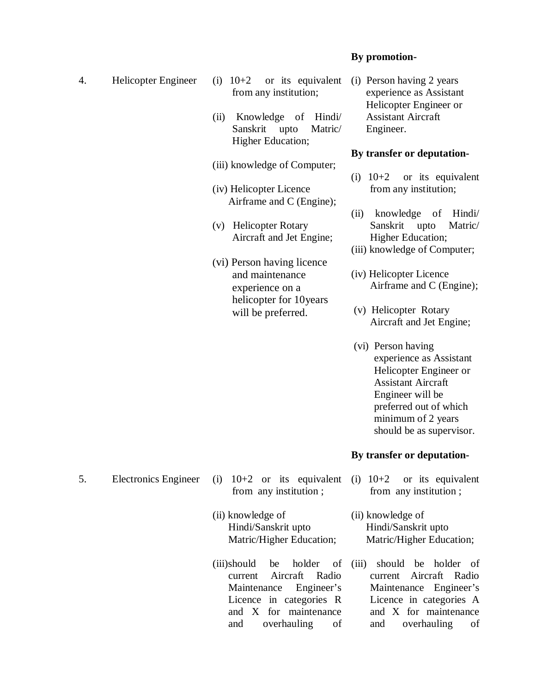#### **By promotion-**

- 
- 4. Helicopter Engineer (i) 10+2 or its equivalent from any institution;
	- Sanskrit upto Matric/ Higher Education; (ii) Knowledge of Hindi/
	- (iii) knowledge of Computer;
	- (iv) Helicopter Licence Airframe and C (Engine);
	- (v) Helicopter Rotary Aircraft and Jet Engine;
	- helicopter for 10years (vi) Person having licence and maintenance experience on a will be preferred.

 (i) Person having 2 years experience as Assistant Helicopter Engineer or Assistant Aircraft Engineer.

#### **By transfer or deputation-**

- (i)  $10+2$  from any institution; or its equivalent
- Sanskrit upto Matric/ Higher Education; (ii) knowledge of Hindi/
- (iii) knowledge of Computer;
- Airframe and C (Engine); (iv) Helicopter Licence
- Aircraft and Jet Engine; (v) Helicopter Rotary
- experience as Assistant Helicopter Engineer or Assistant Aircraft Engineer will be preferred out of which minimum of 2 years should be as supervisor. (vi) Person having

#### **By transfer or deputation-**

- (i)  $10+2$  from any institution ; or its equivalent
- Hindi/Sanskrit upto Matric/Higher Education;
- current Licence in categories R (iii)should be holder of Aircraft Radio Maintenance Engineer's and X for maintenance and overhauling of

from any institution ;

(ii) knowledge of

- (ii) knowledge of Hindi/Sanskrit upto Matric/Higher Education;
- (iii) should be holder of current Aircraft Radio and overhauling of Maintenance Engineer's Licence in categories A and X for maintenance

**Electronics Engineer** 5. Electronics Engineer (i) 10+2 or its equivalent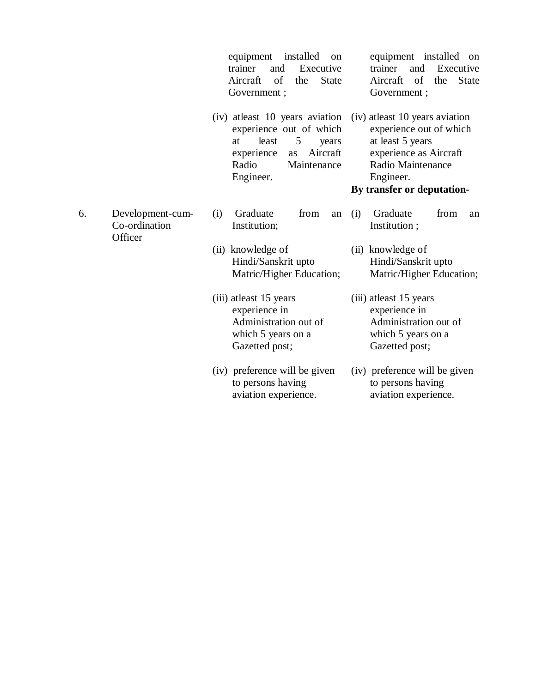|    |                                              | equipment<br>installed<br>on<br>Executive<br>trainer<br>and<br>of<br>Aircraft<br><b>State</b><br>the<br>Government;                                                 | equipment installed<br>on<br>Executive<br>trainer<br>and<br>of<br>Aircraft<br>the<br><b>State</b><br>Government;                                                         |
|----|----------------------------------------------|---------------------------------------------------------------------------------------------------------------------------------------------------------------------|--------------------------------------------------------------------------------------------------------------------------------------------------------------------------|
|    |                                              | (iv) at least 10 years aviation<br>experience out of which<br>least<br>5<br>at<br>years<br>Aircraft<br>experience<br><b>as</b><br>Radio<br>Maintenance<br>Engineer. | (iv) at least 10 years aviation<br>experience out of which<br>at least 5 years<br>experience as Aircraft<br>Radio Maintenance<br>Engineer.<br>By transfer or deputation- |
| 6. | Development-cum-<br>Co-ordination<br>Officer | Graduate<br>from<br>(i)<br>an<br>Institution;                                                                                                                       | Graduate<br>(i)<br>from<br>an<br>Institution;                                                                                                                            |
|    |                                              | (ii) knowledge of<br>Hindi/Sanskrit upto<br>Matric/Higher Education;                                                                                                | (ii) knowledge of<br>Hindi/Sanskrit upto<br>Matric/Higher Education;                                                                                                     |
|    |                                              | (iii) at least 15 years<br>experience in<br>Administration out of<br>which 5 years on a<br>Gazetted post;                                                           | (iii) at least 15 years<br>experience in<br>Administration out of<br>which 5 years on a<br>Gazetted post;                                                                |
|    |                                              | (iv) preference will be given<br>to persons having<br>aviation experience.                                                                                          | (iv) preference will be given<br>to persons having<br>aviation experience.                                                                                               |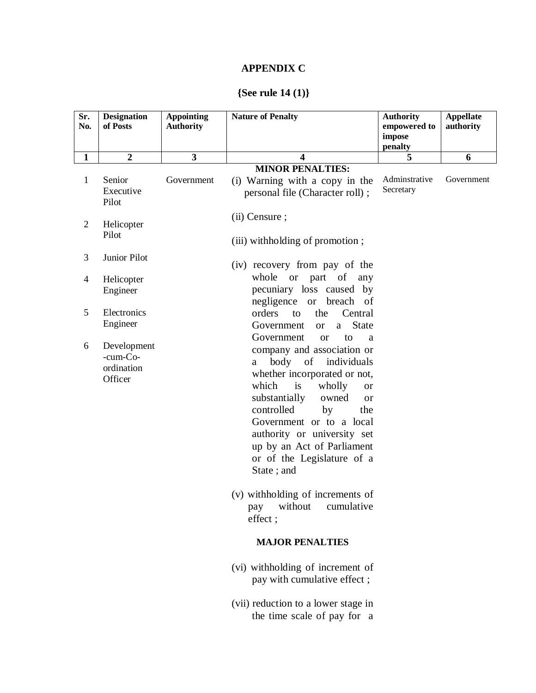# **APPENDIX C**

### **{See rule 14 (1)}**

| Sr.<br>No.     | <b>Designation</b><br>of Posts                   | <b>Appointing</b><br><b>Authority</b> | <b>Nature of Penalty</b>                                                                                                                                                                                                                                                                                                                                                                | <b>Authority</b><br>empowered to<br>impose<br>penalty | <b>Appellate</b><br>authority |
|----------------|--------------------------------------------------|---------------------------------------|-----------------------------------------------------------------------------------------------------------------------------------------------------------------------------------------------------------------------------------------------------------------------------------------------------------------------------------------------------------------------------------------|-------------------------------------------------------|-------------------------------|
| $\mathbf{1}$   | $\boldsymbol{2}$                                 | $\overline{\mathbf{3}}$               | 4                                                                                                                                                                                                                                                                                                                                                                                       | 5                                                     | 6                             |
|                |                                                  |                                       | <b>MINOR PENALTIES:</b>                                                                                                                                                                                                                                                                                                                                                                 |                                                       |                               |
| $\mathbf{1}$   | Senior<br>Executive<br>Pilot                     | Government                            | (i) Warning with a copy in the<br>personal file (Character roll);                                                                                                                                                                                                                                                                                                                       | Adminstrative<br>Secretary                            | Government                    |
| $\overline{2}$ | Helicopter<br>Pilot                              |                                       | (ii) Censure;<br>(iii) with holding of promotion;                                                                                                                                                                                                                                                                                                                                       |                                                       |                               |
| 3              | Junior Pilot                                     |                                       | (iv) recovery from pay of the                                                                                                                                                                                                                                                                                                                                                           |                                                       |                               |
| 4              | Helicopter<br>Engineer                           |                                       | whole or part of any<br>pecuniary loss caused by<br>negligence or<br>breach of                                                                                                                                                                                                                                                                                                          |                                                       |                               |
| 5              | Electronics<br>Engineer                          |                                       | orders<br>Central<br>the<br>to<br>Government<br><b>State</b><br><sub>or</sub><br>a                                                                                                                                                                                                                                                                                                      |                                                       |                               |
| 6              | Development<br>-cum-Co-<br>ordination<br>Officer |                                       | Government<br>to<br><sub>or</sub><br>a<br>company and association or<br>body<br>of<br>individuals<br>a<br>whether incorporated or not,<br>which<br>is<br>wholly<br><b>or</b><br>substantially<br>owned<br><sub>or</sub><br>controlled<br>by<br>the<br>Government or to a local<br>authority or university set<br>up by an Act of Parliament<br>or of the Legislature of a<br>State; and |                                                       |                               |
|                |                                                  |                                       | (v) with holding of increments of<br>cumulative<br>without<br>pay<br>effect;                                                                                                                                                                                                                                                                                                            |                                                       |                               |
|                |                                                  |                                       | <b>MAJOR PENALTIES</b>                                                                                                                                                                                                                                                                                                                                                                  |                                                       |                               |
|                |                                                  |                                       | (vi) withholding of increment of<br>pay with cumulative effect;                                                                                                                                                                                                                                                                                                                         |                                                       |                               |
|                |                                                  |                                       | (vii) reduction to a lower stage in<br>the time scale of pay for a                                                                                                                                                                                                                                                                                                                      |                                                       |                               |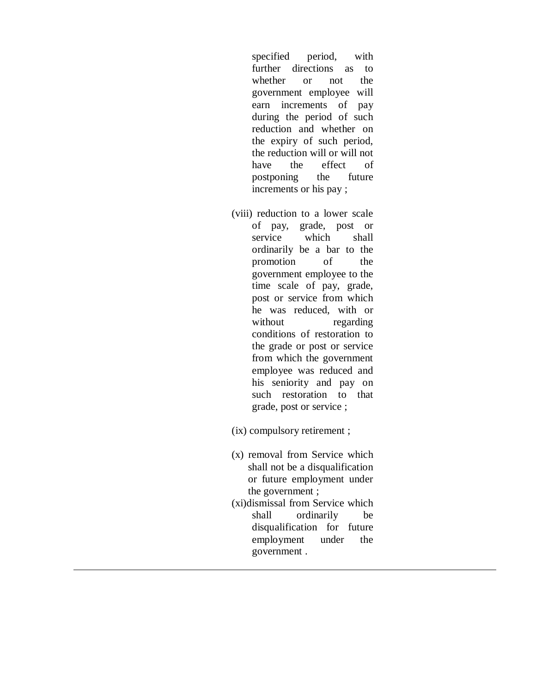further directions as to whether or not the government employee will earn increments of pay during the period of such the expiry of such period, the reduction will or will not have postponing the future increments or his pay ; specified period, with reduction and whether on the effect of

- of pay, grade, post or service which shall ordinarily be a bar to the promotion of the government employee to the time scale of pay, grade, post or service from which he was reduced, with or conditions of restoration to the grade or post or service from which the government employee was reduced and his seniority and pay on such restoration to that grade, post or service ; (viii) reduction to a lower scale without regarding
- (ix) compulsory retirement ;
- shall not be a disqualification or future employment under the government ; (x) removal from Service which
- shall ordinarily be disqualification for future employment under the government . (xi)dismissal from Service which